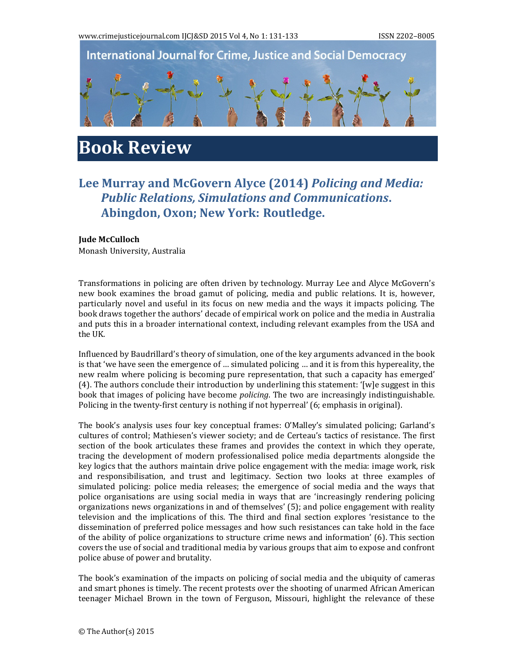

## **Book Review**

## **Lee Murray and McGovern Alyce (2014)** *Policing and Media: Public Relations, Simulations and Communications***. Abingdon, Oxon; New York: Routledge.**

## **Jude McCulloch**

Monash University, Australia

Transformations in policing are often driven by technology. Murray Lee and Alyce McGovern's new book examines the broad gamut of policing, media and public relations. It is, however, particularly novel and useful in its focus on new media and the ways it impacts policing. The book draws together the authors' decade of empirical work on police and the media in Australia and puts this in a broader international context, including relevant examples from the USA and the UK.

Influenced by Baudrillard's theory of simulation, one of the key arguments advanced in the book is that 'we have seen the emergence of  $\ldots$  simulated policing  $\ldots$  and it is from this hypereality, the new realm where policing is becoming pure representation, that such a capacity has emerged'  $(4)$ . The authors conclude their introduction by underlining this statement: '[w]e suggest in this book that images of policing have become *policing*. The two are increasingly indistinguishable. Policing in the twenty-first century is nothing if not hyperreal' (6; emphasis in original).

The book's analysis uses four key conceptual frames: O'Malley's simulated policing; Garland's cultures of control; Mathiesen's viewer society; and de Certeau's tactics of resistance. The first section of the book articulates these frames and provides the context in which they operate, tracing the development of modern professionalised police media departments alongside the key logics that the authors maintain drive police engagement with the media: image work, risk and responsibilisation, and trust and legitimacy. Section two looks at three examples of simulated policing: police media releases; the emergence of social media and the ways that police organisations are using social media in ways that are 'increasingly rendering policing organizations news organizations in and of themselves'  $(5)$ ; and police engagement with reality television and the implications of this. The third and final section explores 'resistance to the dissemination of preferred police messages and how such resistances can take hold in the face of the ability of police organizations to structure crime news and information'  $(6)$ . This section covers the use of social and traditional media by various groups that aim to expose and confront police abuse of power and brutality.

The book's examination of the impacts on policing of social media and the ubiquity of cameras and smart phones is timely. The recent protests over the shooting of unarmed African American teenager Michael Brown in the town of Ferguson, Missouri, highlight the relevance of these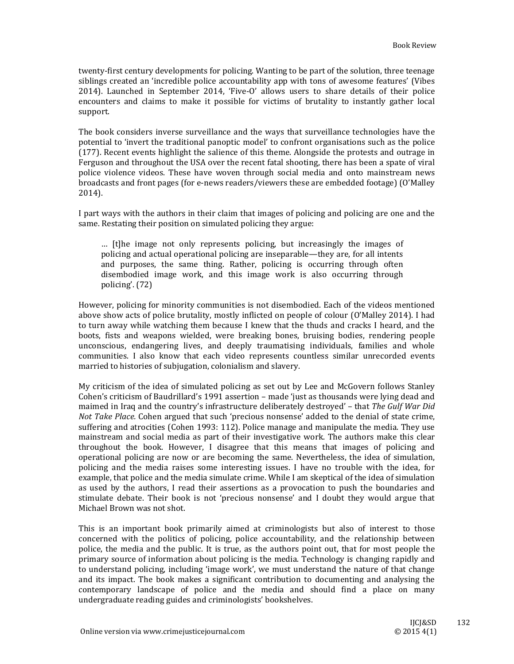twenty-first century developments for policing. Wanting to be part of the solution, three teenage siblings created an 'incredible police accountability app with tons of awesome features' (Vibes  $2014$ ). Launched in September 2014, 'Five-O' allows users to share details of their police encounters and claims to make it possible for victims of brutality to instantly gather local support. 

The book considers inverse surveillance and the ways that surveillance technologies have the potential to 'invert the traditional panoptic model' to confront organisations such as the police (177). Recent events highlight the salience of this theme. Alongside the protests and outrage in Ferguson and throughout the USA over the recent fatal shooting, there has been a spate of viral police violence videos. These have woven through social media and onto mainstream news broadcasts and front pages (for e-news readers/viewers these are embedded footage) (O'Malley 2014). 

I part ways with the authors in their claim that images of policing and policing are one and the same. Restating their position on simulated policing they argue:

... [t]he image not only represents policing, but increasingly the images of policing and actual operational policing are inseparable—they are, for all intents and purposes, the same thing. Rather, policing is occurring through often disembodied image work, and this image work is also occurring through policing'. (72)

However, policing for minority communities is not disembodied. Each of the videos mentioned above show acts of police brutality, mostly inflicted on people of colour (O'Malley 2014). I had to turn away while watching them because I knew that the thuds and cracks I heard, and the boots, fists and weapons wielded, were breaking bones, bruising bodies, rendering people unconscious, endangering lives, and deeply traumatising individuals, families and whole communities. I also know that each video represents countless similar unrecorded events married to histories of subjugation, colonialism and slavery.

My criticism of the idea of simulated policing as set out by Lee and McGovern follows Stanley Cohen's criticism of Baudrillard's 1991 assertion – made 'just as thousands were lying dead and maimed in Iraq and the country's infrastructure deliberately destroyed' – that *The Gulf War Did Not Take Place.* Cohen argued that such 'precious nonsense' added to the denial of state crime, suffering and atrocities (Cohen 1993: 112). Police manage and manipulate the media. They use mainstream and social media as part of their investigative work. The authors make this clear throughout the book. However, I disagree that this means that images of policing and operational policing are now or are becoming the same. Nevertheless, the idea of simulation, policing and the media raises some interesting issues. I have no trouble with the idea, for example, that police and the media simulate crime. While I am skeptical of the idea of simulation as used by the authors, I read their assertions as a provocation to push the boundaries and stimulate debate. Their book is not 'precious nonsense' and I doubt they would argue that Michael Brown was not shot.

This is an important book primarily aimed at criminologists but also of interest to those concerned with the politics of policing, police accountability, and the relationship between police, the media and the public. It is true, as the authors point out, that for most people the primary source of information about policing is the media. Technology is changing rapidly and to understand policing, including 'image work', we must understand the nature of that change and its impact. The book makes a significant contribution to documenting and analysing the contemporary landscape of police and the media and should find a place on many undergraduate reading guides and criminologists' bookshelves.